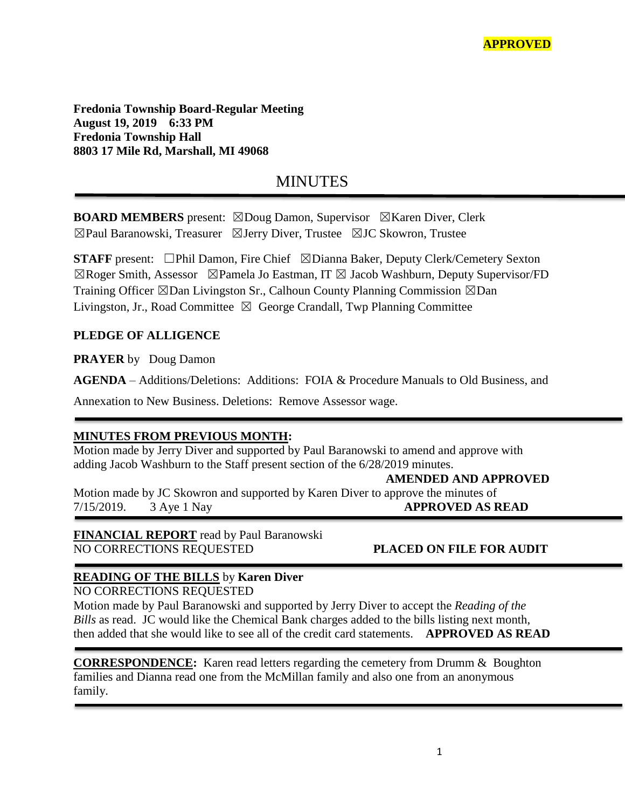**Fredonia Township Board-Regular Meeting August 19, 2019 6:33 PM Fredonia Township Hall 8803 17 Mile Rd, Marshall, MI 49068**

# MINUTES

**BOARD MEMBERS** present: ⊠Doug Damon, Supervisor ⊠Karen Diver, Clerk ☒Paul Baranowski, Treasurer ☒Jerry Diver, Trustee ☒JC Skowron, Trustee

**STAFF** present: □Phil Damon, Fire Chief ⊠Dianna Baker, Deputy Clerk/Cemetery Sexton  $\boxtimes$ Roger Smith, Assessor  $\boxtimes$ Pamela Jo Eastman, IT  $\boxtimes$  Jacob Washburn, Deputy Supervisor/FD Training Officer  $\boxtimes$ Dan Livingston Sr., Calhoun County Planning Commission  $\boxtimes$ Dan Livingston, Jr., Road Committee  $\boxtimes$  George Crandall, Twp Planning Committee

### **PLEDGE OF ALLIGENCE**

**PRAYER** by Doug Damon

**AGENDA** – Additions/Deletions: Additions: FOIA & Procedure Manuals to Old Business, and

Annexation to New Business. Deletions: Remove Assessor wage.

### **MINUTES FROM PREVIOUS MONTH:**

Motion made by Jerry Diver and supported by Paul Baranowski to amend and approve with adding Jacob Washburn to the Staff present section of the 6/28/2019 minutes.

 **AMENDED AND APPROVED**

Motion made by JC Skowron and supported by Karen Diver to approve the minutes of 7/15/2019. 3 Aye 1 Nay **APPROVED AS READ**

**FINANCIAL REPORT** read by Paul Baranowski NO CORRECTIONS REQUESTED **PLACED ON FILE FOR AUDIT**

# **READING OF THE BILLS** by **Karen Diver**

NO CORRECTIONS REQUESTED

Motion made by Paul Baranowski and supported by Jerry Diver to accept the *Reading of the Bills* as read. JC would like the Chemical Bank charges added to the bills listing next month, then added that she would like to see all of the credit card statements. **APPROVED AS READ**

**CORRESPONDENCE:** Karen read letters regarding the cemetery from Drumm & Boughton families and Dianna read one from the McMillan family and also one from an anonymous family.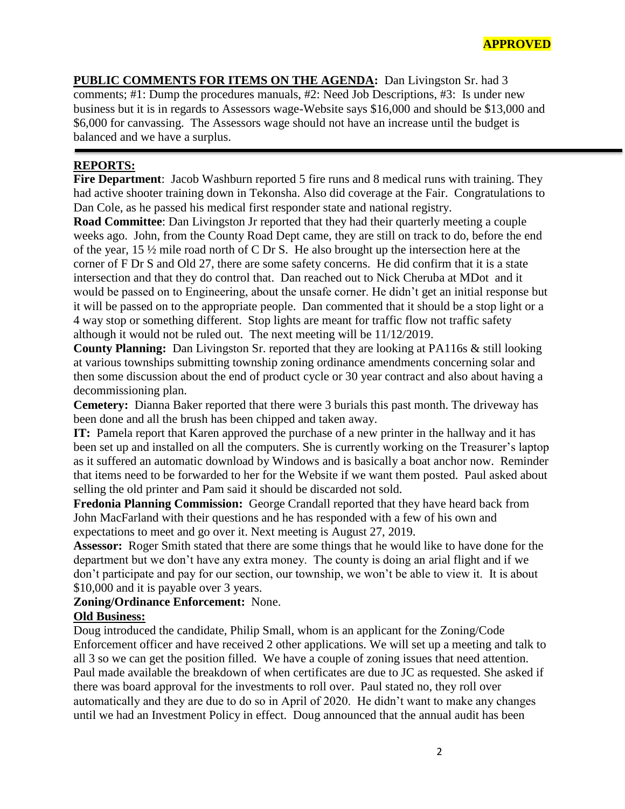**PUBLIC COMMENTS FOR ITEMS ON THE AGENDA:** Dan Livingston Sr. had 3 comments; #1: Dump the procedures manuals, #2: Need Job Descriptions, #3: Is under new business but it is in regards to Assessors wage-Website says \$16,000 and should be \$13,000 and \$6,000 for canvassing. The Assessors wage should not have an increase until the budget is balanced and we have a surplus.

## **REPORTS:**

**Fire Department**: Jacob Washburn reported 5 fire runs and 8 medical runs with training. They had active shooter training down in Tekonsha. Also did coverage at the Fair. Congratulations to Dan Cole, as he passed his medical first responder state and national registry.

**Road Committee**: Dan Livingston Jr reported that they had their quarterly meeting a couple weeks ago. John, from the County Road Dept came, they are still on track to do, before the end of the year, 15 ½ mile road north of C Dr S. He also brought up the intersection here at the corner of F Dr S and Old 27, there are some safety concerns. He did confirm that it is a state intersection and that they do control that. Dan reached out to Nick Cheruba at MDot and it would be passed on to Engineering, about the unsafe corner. He didn't get an initial response but it will be passed on to the appropriate people. Dan commented that it should be a stop light or a 4 way stop or something different. Stop lights are meant for traffic flow not traffic safety although it would not be ruled out. The next meeting will be 11/12/2019.

**County Planning:** Dan Livingston Sr. reported that they are looking at PA116s & still looking at various townships submitting township zoning ordinance amendments concerning solar and then some discussion about the end of product cycle or 30 year contract and also about having a decommissioning plan.

**Cemetery:** Dianna Baker reported that there were 3 burials this past month. The driveway has been done and all the brush has been chipped and taken away.

**IT:** Pamela report that Karen approved the purchase of a new printer in the hallway and it has been set up and installed on all the computers. She is currently working on the Treasurer's laptop as it suffered an automatic download by Windows and is basically a boat anchor now. Reminder that items need to be forwarded to her for the Website if we want them posted. Paul asked about selling the old printer and Pam said it should be discarded not sold.

**Fredonia Planning Commission:** George Crandall reported that they have heard back from John MacFarland with their questions and he has responded with a few of his own and expectations to meet and go over it. Next meeting is August 27, 2019.

**Assessor:** Roger Smith stated that there are some things that he would like to have done for the department but we don't have any extra money. The county is doing an arial flight and if we don't participate and pay for our section, our township, we won't be able to view it. It is about \$10,000 and it is payable over 3 years.

**Zoning/Ordinance Enforcement:** None.

### **Old Business:**

Doug introduced the candidate, Philip Small, whom is an applicant for the Zoning/Code Enforcement officer and have received 2 other applications. We will set up a meeting and talk to all 3 so we can get the position filled. We have a couple of zoning issues that need attention. Paul made available the breakdown of when certificates are due to JC as requested. She asked if there was board approval for the investments to roll over. Paul stated no, they roll over automatically and they are due to do so in April of 2020. He didn't want to make any changes until we had an Investment Policy in effect. Doug announced that the annual audit has been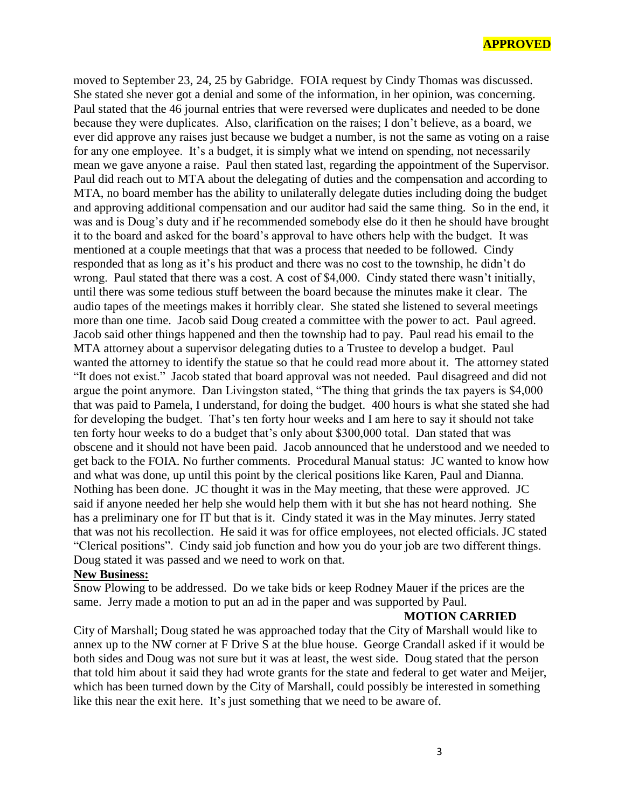#### **APPROVED**

moved to September 23, 24, 25 by Gabridge. FOIA request by Cindy Thomas was discussed. She stated she never got a denial and some of the information, in her opinion, was concerning. Paul stated that the 46 journal entries that were reversed were duplicates and needed to be done because they were duplicates. Also, clarification on the raises; I don't believe, as a board, we ever did approve any raises just because we budget a number, is not the same as voting on a raise for any one employee. It's a budget, it is simply what we intend on spending, not necessarily mean we gave anyone a raise. Paul then stated last, regarding the appointment of the Supervisor. Paul did reach out to MTA about the delegating of duties and the compensation and according to MTA, no board member has the ability to unilaterally delegate duties including doing the budget and approving additional compensation and our auditor had said the same thing. So in the end, it was and is Doug's duty and if he recommended somebody else do it then he should have brought it to the board and asked for the board's approval to have others help with the budget. It was mentioned at a couple meetings that that was a process that needed to be followed. Cindy responded that as long as it's his product and there was no cost to the township, he didn't do wrong. Paul stated that there was a cost. A cost of \$4,000. Cindy stated there wasn't initially, until there was some tedious stuff between the board because the minutes make it clear. The audio tapes of the meetings makes it horribly clear. She stated she listened to several meetings more than one time. Jacob said Doug created a committee with the power to act. Paul agreed. Jacob said other things happened and then the township had to pay. Paul read his email to the MTA attorney about a supervisor delegating duties to a Trustee to develop a budget. Paul wanted the attorney to identify the statue so that he could read more about it. The attorney stated "It does not exist." Jacob stated that board approval was not needed. Paul disagreed and did not argue the point anymore. Dan Livingston stated, "The thing that grinds the tax payers is \$4,000 that was paid to Pamela, I understand, for doing the budget. 400 hours is what she stated she had for developing the budget. That's ten forty hour weeks and I am here to say it should not take ten forty hour weeks to do a budget that's only about \$300,000 total. Dan stated that was obscene and it should not have been paid. Jacob announced that he understood and we needed to get back to the FOIA. No further comments. Procedural Manual status: JC wanted to know how and what was done, up until this point by the clerical positions like Karen, Paul and Dianna. Nothing has been done. JC thought it was in the May meeting, that these were approved. JC said if anyone needed her help she would help them with it but she has not heard nothing. She has a preliminary one for IT but that is it. Cindy stated it was in the May minutes. Jerry stated that was not his recollection. He said it was for office employees, not elected officials. JC stated "Clerical positions". Cindy said job function and how you do your job are two different things. Doug stated it was passed and we need to work on that.

#### **New Business:**

Snow Plowing to be addressed. Do we take bids or keep Rodney Mauer if the prices are the same. Jerry made a motion to put an ad in the paper and was supported by Paul.

#### **MOTION CARRIED**

City of Marshall; Doug stated he was approached today that the City of Marshall would like to annex up to the NW corner at F Drive S at the blue house. George Crandall asked if it would be both sides and Doug was not sure but it was at least, the west side. Doug stated that the person that told him about it said they had wrote grants for the state and federal to get water and Meijer, which has been turned down by the City of Marshall, could possibly be interested in something like this near the exit here. It's just something that we need to be aware of.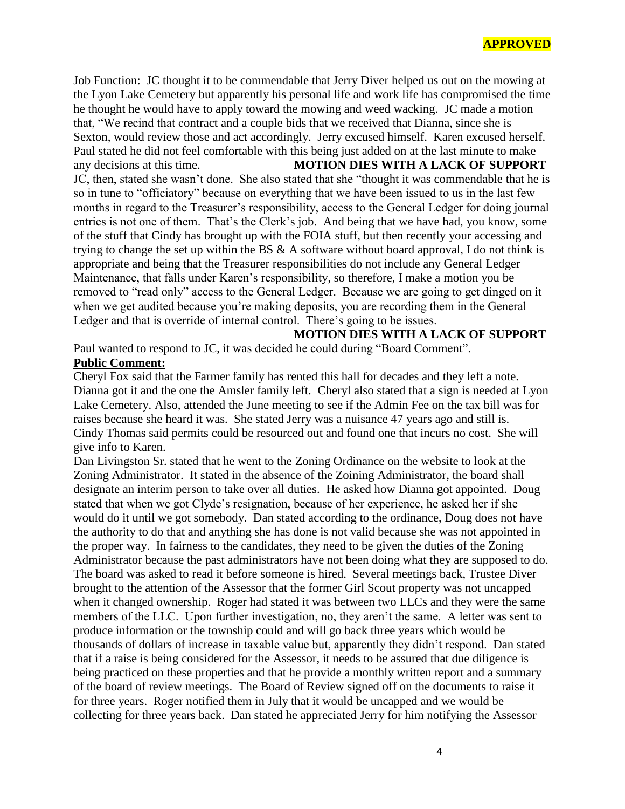Job Function: JC thought it to be commendable that Jerry Diver helped us out on the mowing at the Lyon Lake Cemetery but apparently his personal life and work life has compromised the time he thought he would have to apply toward the mowing and weed wacking. JC made a motion that, "We recind that contract and a couple bids that we received that Dianna, since she is Sexton, would review those and act accordingly. Jerry excused himself. Karen excused herself. Paul stated he did not feel comfortable with this being just added on at the last minute to make any decisions at this time. **MOTION DIES WITH A LACK OF SUPPORT** JC, then, stated she wasn't done. She also stated that she "thought it was commendable that he is so in tune to "officiatory" because on everything that we have been issued to us in the last few months in regard to the Treasurer's responsibility, access to the General Ledger for doing journal entries is not one of them. That's the Clerk's job. And being that we have had, you know, some of the stuff that Cindy has brought up with the FOIA stuff, but then recently your accessing and trying to change the set up within the BS  $\&$  A software without board approval, I do not think is appropriate and being that the Treasurer responsibilities do not include any General Ledger Maintenance, that falls under Karen's responsibility, so therefore, I make a motion you be removed to "read only" access to the General Ledger. Because we are going to get dinged on it when we get audited because you're making deposits, you are recording them in the General Ledger and that is override of internal control. There's going to be issues.

**MOTION DIES WITH A LACK OF SUPPORT**

Paul wanted to respond to JC, it was decided he could during "Board Comment".

#### **Public Comment:**

Cheryl Fox said that the Farmer family has rented this hall for decades and they left a note. Dianna got it and the one the Amsler family left. Cheryl also stated that a sign is needed at Lyon Lake Cemetery. Also, attended the June meeting to see if the Admin Fee on the tax bill was for raises because she heard it was. She stated Jerry was a nuisance 47 years ago and still is. Cindy Thomas said permits could be resourced out and found one that incurs no cost. She will give info to Karen.

Dan Livingston Sr. stated that he went to the Zoning Ordinance on the website to look at the Zoning Administrator. It stated in the absence of the Zoining Administrator, the board shall designate an interim person to take over all duties. He asked how Dianna got appointed. Doug stated that when we got Clyde's resignation, because of her experience, he asked her if she would do it until we got somebody. Dan stated according to the ordinance, Doug does not have the authority to do that and anything she has done is not valid because she was not appointed in the proper way. In fairness to the candidates, they need to be given the duties of the Zoning Administrator because the past administrators have not been doing what they are supposed to do. The board was asked to read it before someone is hired. Several meetings back, Trustee Diver brought to the attention of the Assessor that the former Girl Scout property was not uncapped when it changed ownership. Roger had stated it was between two LLCs and they were the same members of the LLC. Upon further investigation, no, they aren't the same. A letter was sent to produce information or the township could and will go back three years which would be thousands of dollars of increase in taxable value but, apparently they didn't respond. Dan stated that if a raise is being considered for the Assessor, it needs to be assured that due diligence is being practiced on these properties and that he provide a monthly written report and a summary of the board of review meetings. The Board of Review signed off on the documents to raise it for three years. Roger notified them in July that it would be uncapped and we would be collecting for three years back. Dan stated he appreciated Jerry for him notifying the Assessor